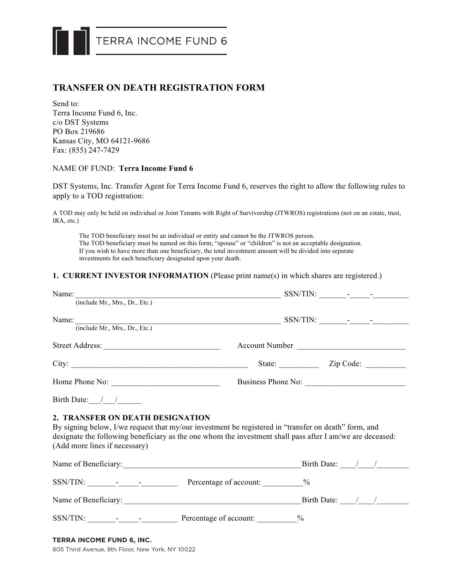

## **TRANSFER ON DEATH REGISTRATION FORM**

Send to: Terra Income Fund 6, Inc. c/o DST Systems PO Box 219686 Kansas City, MO 64121-9686 Fax: (855) 247-7429

## NAME OF FUND: **Terra Income Fund 6**

DST Systems, Inc. Transfer Agent for Terra Income Fund 6, reserves the right to allow the following rules to apply to a TOD registration:

A TOD may only be held on individual or Joint Tenants with Right of Survivorship (JTWROS) registrations (not on an estate, trust, IRA, etc.)

The TOD beneficiary must be an individual or entity and cannot be the JTWROS person. The TOD beneficiary must be named on this form; "spouse" or "children" is not an acceptable designation. If you wish to have more than one beneficiary, the total investment amount will be divided into separate investments for each beneficiary designated upon your death.

## **1. CURRENT INVESTOR INFORMATION** (Please print name(s) in which shares are registered.)

| (include Mr., Mrs., Dr., Etc.)                                                                                                                                                                                                                                                         |                    |                                               |  |  |
|----------------------------------------------------------------------------------------------------------------------------------------------------------------------------------------------------------------------------------------------------------------------------------------|--------------------|-----------------------------------------------|--|--|
|                                                                                                                                                                                                                                                                                        | Account Number     |                                               |  |  |
| City:                                                                                                                                                                                                                                                                                  |                    | State: <u>Zip Code:</u>                       |  |  |
|                                                                                                                                                                                                                                                                                        | Business Phone No: |                                               |  |  |
| Birth Date: $\frac{1}{\sqrt{2\pi}}$                                                                                                                                                                                                                                                    |                    |                                               |  |  |
| 2. TRANSFER ON DEATH DESIGNATION<br>By signing below, I/we request that my/our investment be registered in "transfer on death" form, and<br>designate the following beneficiary as the one whom the investment shall pass after I am/we are deceased:<br>(Add more lines if necessary) |                    |                                               |  |  |
|                                                                                                                                                                                                                                                                                        |                    | Birth Date: $\frac{1}{\sqrt{1-\frac{1}{2}}}\$ |  |  |
|                                                                                                                                                                                                                                                                                        |                    |                                               |  |  |
|                                                                                                                                                                                                                                                                                        |                    |                                               |  |  |
|                                                                                                                                                                                                                                                                                        |                    |                                               |  |  |
| TERRA INCOME FUND 6, INC.                                                                                                                                                                                                                                                              |                    |                                               |  |  |

805 Third Avenue, 8th Floor, New York, NY 10022